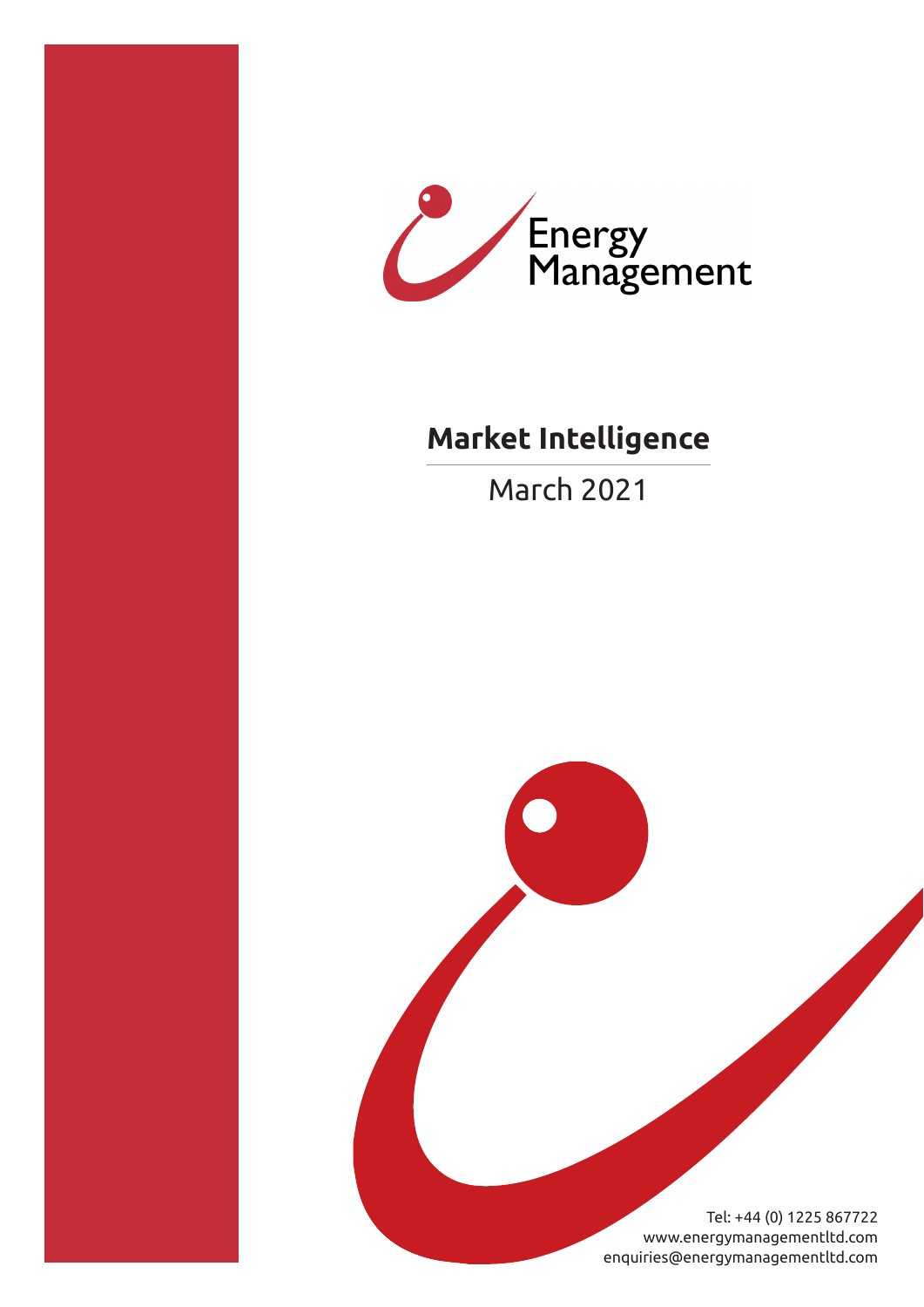



# **Market Intelligence**

March 2021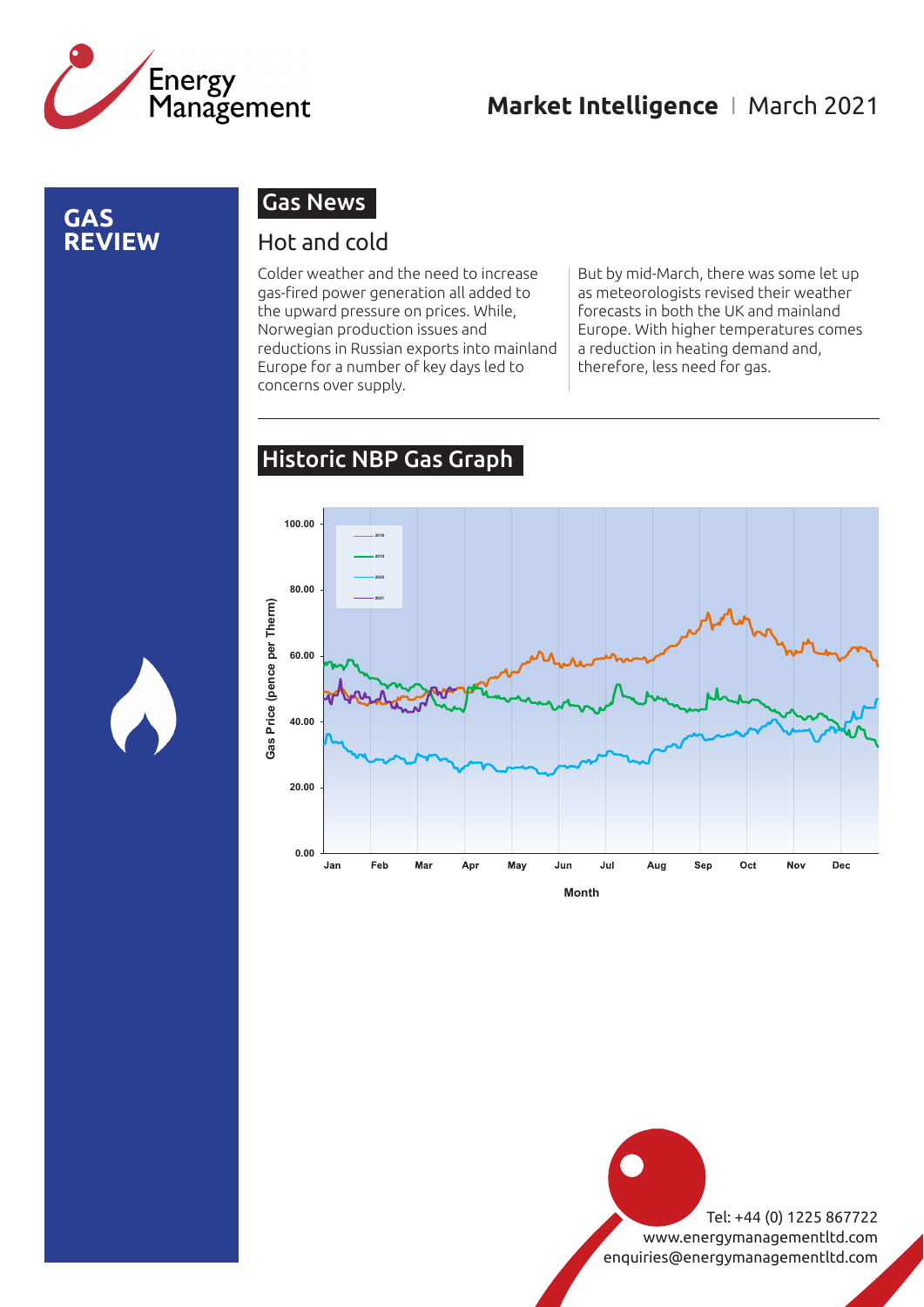

### **GAS REVIEW**

### Gas News

### Hot and cold

Colder weather and the need to increase gas-fired power generation all added to the upward pressure on prices. While, Norwegian production issues and reductions in Russian exports into mainland Europe for a number of key days led to concerns over supply.

But by mid-March, there was some let up as meteorologists revised their weather forecasts in both the UK and mainland Europe. With higher temperatures comes a reduction in heating demand and, therefore, less need for gas.

### Historic NBP Gas Graph



**Month**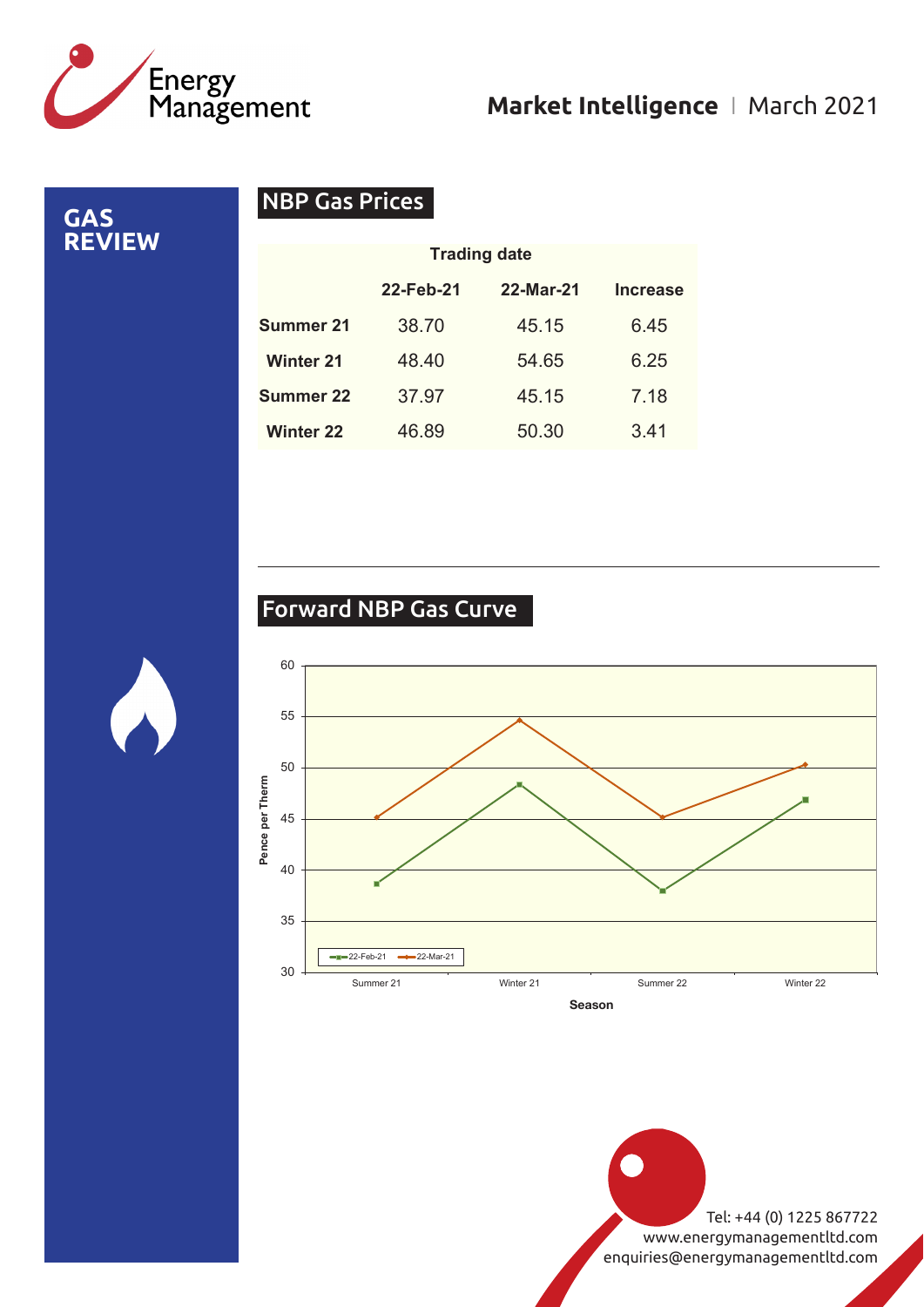

**GAS REVIEW**

### NBP Gas Prices

|                  | <b>Trading date</b> |           |                 |
|------------------|---------------------|-----------|-----------------|
|                  | 22-Feb-21           | 22-Mar-21 | <b>Increase</b> |
| Summer 21        | 38.70               | 45.15     | 6.45            |
| <b>Winter 21</b> | 48.40               | 54.65     | 6.25            |
| <b>Summer 22</b> | 37.97               | 45.15     | 7.18            |
| <b>Winter 22</b> | 46.89               | 50.30     | 3.41            |

### Forward NBP Gas Curve

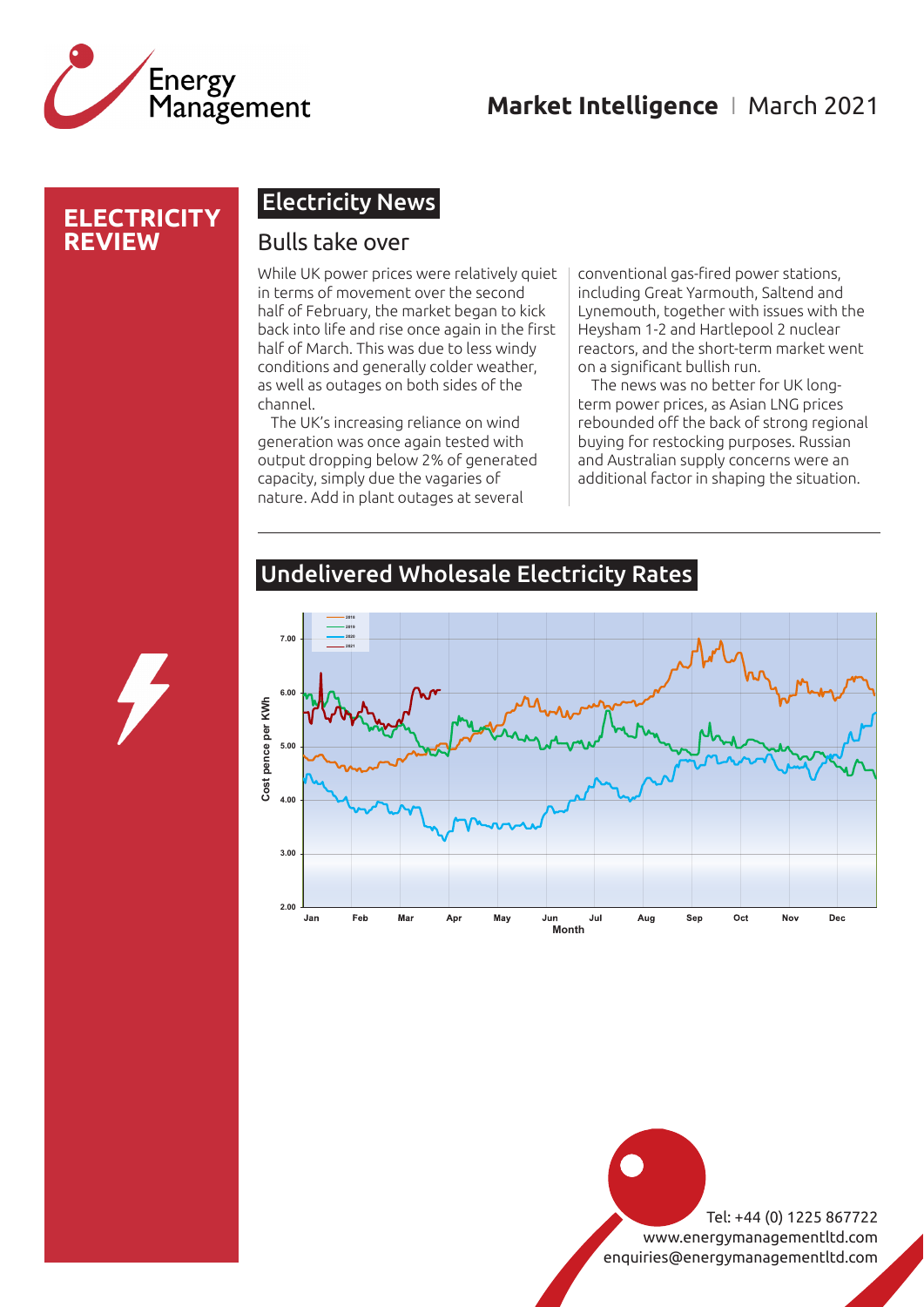

### **ELECTRICITY REVIEW**

### Electricity News

### Bulls take over

While UK power prices were relatively quiet in terms of movement over the second half of February, the market began to kick back into life and rise once again in the first half of March. This was due to less windy conditions and generally colder weather, as well as outages on both sides of the channel.

The UK's increasing reliance on wind generation was once again tested with output dropping below 2% of generated capacity, simply due the vagaries of nature. Add in plant outages at several

conventional gas-fired power stations, including Great Yarmouth, Saltend and Lynemouth, together with issues with the Heysham 1-2 and Hartlepool 2 nuclear reactors, and the short-term market went on a significant bullish run.

The news was no better for UK longterm power prices, as Asian LNG prices rebounded off the back of strong regional buying for restocking purposes. Russian and Australian supply concerns were an additional factor in shaping the situation.



### Undelivered Wholesale Electricity Rates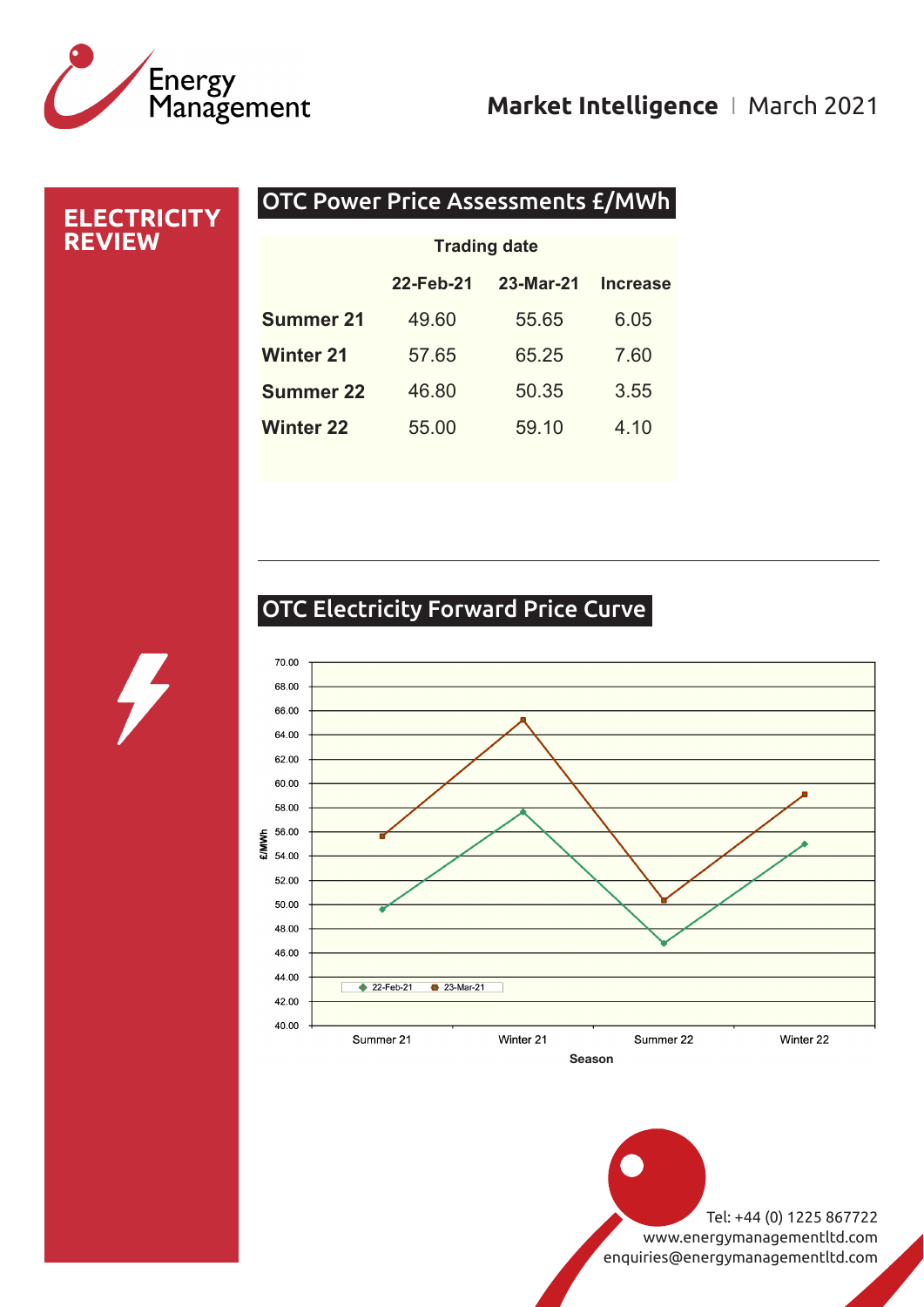# Energy<br>Management

### **Market Intelligence** I March 2021

### OTC Power Price Assessments £/MWh **ELECTRICITY REVIEW 22-Feb-21 23-Mar-21 Increase Summer 21** 49.60 55.65 6.05 **Winter 21** 57.65 65.25 7.60 **Summer 22** 46.80 50.35 3.55 **Winter 22** 55.00 59.10 4.10 **Trading date**

### OTC Electricity Forward Price Curve

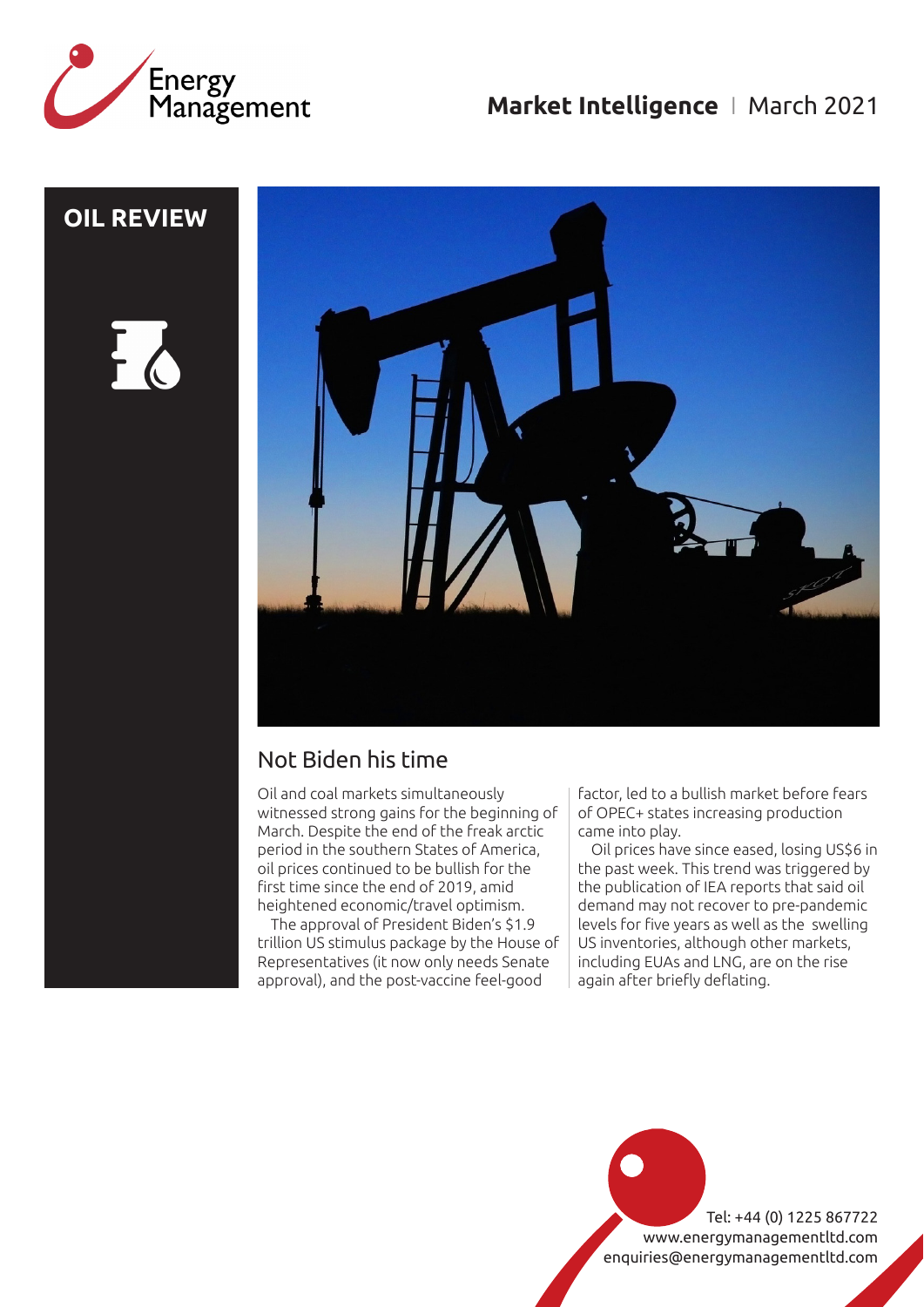

### **OIL REVIEW**





### Not Biden his time

Oil and coal markets simultaneously witnessed strong gains for the beginning of March. Despite the end of the freak arctic period in the southern States of America, oil prices continued to be bullish for the first time since the end of 2019, amid heightened economic/travel optimism.

The approval of President Biden's \$1.9 trillion US stimulus package by the House of Representatives (it now only needs Senate approval), and the post-vaccine feel-good

factor, led to a bullish market before fears of OPEC+ states increasing production came into play.

Oil prices have since eased, losing US\$6 in the past week. This trend was triggered by the publication of IEA reports that said oil demand may not recover to pre-pandemic levels for five years as well as the swelling US inventories, although other markets, including EUAs and LNG, are on the rise again after briefly deflating.